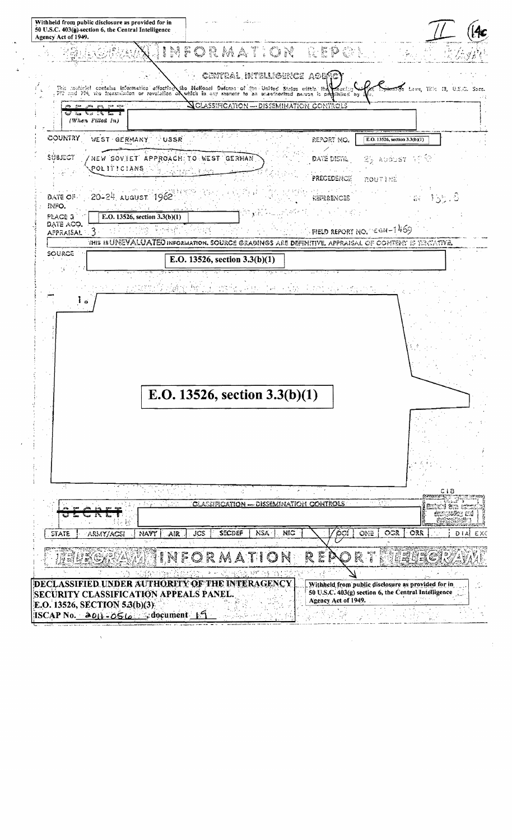Withheld from public disclosure as provided for in 50 U.S.C. 403(g) section 6, the Central Intelligence Agency Act of 1949. INFORMATION REPORT Central intelligence agep **16** Laws, 110c 13, U.S.C. the National Defense of the United States within the Yhis moderlei contains information afforting i ber P which in any mannor to an unauthorized parson is p piblica<sup>r</sup> by DIS € ₹., (When Filled In) COUNTRY WEST GERMANY E.O. 13526, section  $3.3(b)(1)$ USSR REPORT NO. المحور SUBJECT NEW SOVIET APPROACH TO WEST GERMAN DATE DISTR. 游 动的战 下下 POLITICIANS Precedence **ROUT LEE** 20-24 AUGUST 1962 DATE OF **REPERENCES**  $\frac{1}{2}$ 동문 INFO. 3. d  $\sqrt{2}$ PLACE 3 E.O. 13526, section 3.3(b)(1) DATE ACQ. FIELD REPORT NO.  $\leq$  GN-1469  $\mathcal{L}_{\mathcal{A}}$  ,  $\mathcal{L}_{\mathcal{A}}$  $\mathcal{L}_{\mathcal{A}}$  , and  $\mathcal{L}_{\mathcal{A}}$ ٩ <u> 대학 대학</u> **APPRAISAL** THIS IS UNEVALUATED INFORMATION. SOURCE GRADINGS ARE DEFINITIVE, APPRAISAL OF COMTENY IS TERVATIVE. SOURCE E.O. 13526, section  $3.3(b)(1)$ isk stoffen 남편 아이들은 아이가 (高麗) 初め ನ್ನಡಚಿ ہ آ E.O. 13526, section 3.3(b)(1) Ő. **GLASSIFICATION** DISSEMINATION CONTROLS වේත් මීනෙ හ wour en én r **SECDEF** NSA. NIC OCR ORR NAVY JCS **ONE** EXC STATE ARMY/ACSI AR DIAI AA er<br>Ka R ğ DECLASSIFIED UNDER AUTHORITY OF THE INTERAGENCY Withheld from public disclosure as provided for in 50 U.S.C. 403(g) section 6, the Central Intelligence SECURITY CLASSIFICATION APPEALS PANEL. Agency Act of 1949. E.O. 13526, SECTION 5.3(b)(3)  $\text{ISCAP No.}$   $\rightarrow$  011  $\rightarrow$  0516  $\rightarrow$  document 1.5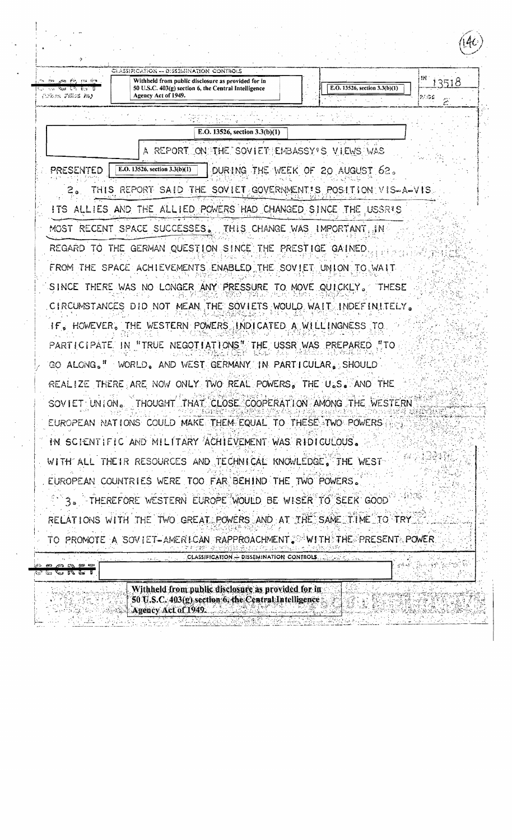| ラー                                  |                                                                                                                                   |                                  |                 |
|-------------------------------------|-----------------------------------------------------------------------------------------------------------------------------------|----------------------------------|-----------------|
| ক তেওঁ একα ইফু চন হতে ক             | CLASSIFICATION -- DISSEMENATION CONTROIS<br>Withheld from public disclosure as provided for in                                    |                                  |                 |
| ාග මිස විව වල වි<br>(When Files In) | 50 U.S.C. 403(g) section 6, the Central Intelligence<br>Agency Act of 1949.                                                       | E.O. 13526, section 3.3(b)(1)    | 13518<br>(2/.SE |
|                                     |                                                                                                                                   |                                  | 2               |
|                                     | 81. IV. G<br>E.O. 13526, section 3.3(b)(1)                                                                                        |                                  |                 |
|                                     | A REPORT ON THE SOVIET EMBASSY'S VIEWS WAS                                                                                        |                                  |                 |
| <b>PRESENTED</b>                    | E.O. 13526, section 3.3(b)(1)                                                                                                     | DURING THE WEEK OF 20 AUGUST 62. |                 |
|                                     | THIS REPORT SAID THE SOVIET GOVERNMENT'S POSITION VIS-A-VIS                                                                       |                                  |                 |
|                                     | ITS ALLIES AND THE ALLIED POWERS HAD CHANGED SINCE THE USSRIS                                                                     |                                  |                 |
|                                     | MOST RECENT SPACE SUCCESSES. THIS CHANGE WAS IMPORTANT, IN                                                                        |                                  |                 |
|                                     | REGARD TO THE GERMAN QUESTION SINCE THE PRESTIGE GAINED                                                                           |                                  |                 |
|                                     | FROM THE SPACE ACHIEVEMENTS ENABLED THE SOVIET UNION TO WAIT                                                                      |                                  |                 |
|                                     | SINCE THERE WAS NO LONGER ANY PRESSURE TO MOVE QUICKLY. THESE                                                                     |                                  |                 |
|                                     | CIRCUMSTANCES DID NOT MEAN THE SOVIETS WOULD WAIT INDEFINITELY.                                                                   |                                  |                 |
|                                     | IF, HOWEVER, THE WESTERN POWERS INDICATED A WILLINGNESS TO                                                                        |                                  |                 |
|                                     | PARTICIPATE. IN "TRUE NEGOTIATIONS". THE USSR WAS PREPARED "TO                                                                    |                                  |                 |
|                                     | GO ALONG." WORLD, AND WEST GERMANY IN PARTICULAR, SHOULD                                                                          |                                  |                 |
|                                     | REALIZE THERE ARE NOW ONLY TWO REAL POWERS. THE U.S. AND THE                                                                      |                                  |                 |
|                                     | SOVIET UNION. THOUGHT THAT CLOSE COOPERATION AMONG THE WESTERN                                                                    |                                  |                 |
|                                     | EUROPEAN NATIONS COULD MAKE THEM EQUAL TO THESE TWO POWERS.                                                                       |                                  |                 |
|                                     | IN SCIENTIFIC AND MILITARY ACHIEVEMENT WAS RIDICULOUS.                                                                            |                                  |                 |
|                                     | WITH ALL THEIR RESOURCES AND TECHNICAL KNOWLEDGE, THE WEST                                                                        |                                  |                 |
|                                     | EUROPEAN COUNTRIES WERE TOO FAR BEHIND THE TWO POWERS.                                                                            |                                  |                 |
|                                     | 3. FHEREFORE WESTERN EUROPE WOULD BE WISER TO SEEK GOOD                                                                           |                                  |                 |
|                                     | RELATIONS WITH THE TWO GREAT POWERS AND AT THE SAME TIME TO TRY.                                                                  |                                  |                 |
|                                     | TO PROMOTE A SOVIET-AMERICAN RAPPROACHMENT. WITH THE PRESENT POWER                                                                |                                  |                 |
| <u>منه ها لانا ویا دی</u>           | CLASSIFICATION - DISSEMINATION CONTROLS                                                                                           |                                  |                 |
| نعطا فأكل استأ                      |                                                                                                                                   |                                  |                 |
|                                     | Withheld from public disclosure as provided for in<br>50 U.S.C. 403(g) section 6, the Central Intelligence<br>Agency Act of 1949. |                                  |                 |

 $\mathcal{L}$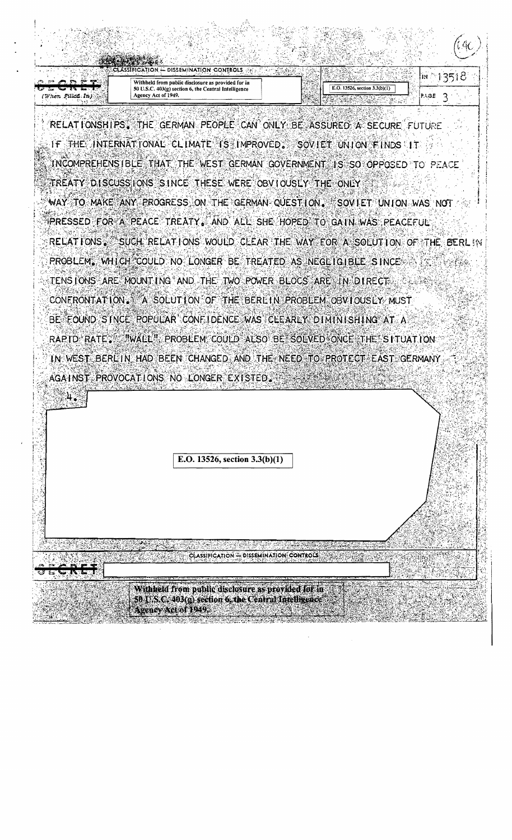

RELATIONSHIPS. THE GERMAN PEOPLE CAN ONLY BE ASSURED A SECURE FUTURE IF THE INTERNATIONAL CLIMATE IS IMPROVED. SOVIET UNION FINDS IT INCOMPREHENSIBLE THAT THE WEST GERMAN GOVERNMENT IS SO OPPOSED TO PEACE TREATY DISCUSS IONS SINCE THESE WERE OBVIOUSLY THE ONLY WAY TO MAKE ANY PROGRESS ON THE GERMAN QUESTION. SOVIET UNION WAS NOT PRESSED FOR A PEACE TREATY. AND ALL SHE HOPED TO GAIN WAS PEACEFUL RELATIONS. SUCH RELATIONS WOULD CLEAR THE WAY FOR A SOLUTION OF THE BERL IN PROBLEM, WHICH COULD NO LONGER BE TREATED AS NEGLIGIBLE SINCE ... TENS IONS ARE MOUNT ING AND THE TWO POWER BLOCS ARE IN DIRECT CONFRONTATION. A SOLUTION OF THE BERLIN PROBLEM OBVIOUSLY MUST BE FOUND STNCE POPULAR CONFIDENCE WAS CLEARLY DIMINISHING AT A RAPID RATE. "WALL" PROBLEM COULD ALSO BE SOLVED ONCE THE SITUATION: IN WEST BERLIN HAD BEEN CHANGED AND THE NEED TO PROTECT EAST GERMANY AGAINST PROVOCATIONS NO LONGER EXISTED.

E.O. 13526, section  $3.3(b)(1)$ 

ે.મ.

- DISSEMINATION CONTROLS **CLASSIFICATION** 

Withheld from public disclosure as provided for in-50 J.S.C. 403(g) section 6, the Central Intelligence Agency Act of 1949: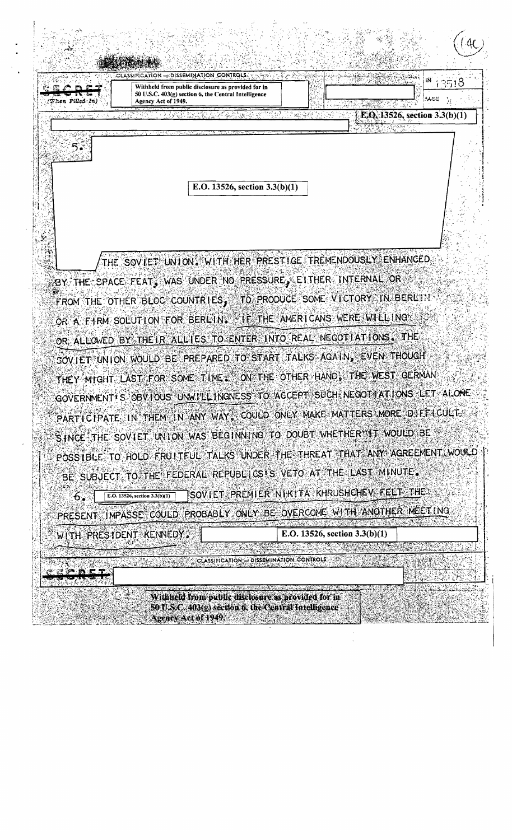- DISSEMINATION CONTROLS **CLASSIFICATION** iΝ 13518 Withheld from public disclosure as provided for in 50 U.S.C. 403(g) section 6, the Central Intelligence MOE. Agency Act of 1949. E, O, 13526, section 3.3(b)(1) E.O. 13526, section  $3.3(b)(1)$ THE SOVIET UNION. WITH HER PRESTIGE TREMENDOUSLY ENHANCED BY THE SPACE FEAT, WAS UNDER NO PRESSURE, EITHER INTERNAL OR FROM THE OTHER BLOC COUNTRIES, TO PRODUCE SOME VICTORY IN BERLIN OR A FIRM SOLUTION FOR BERLING FETHE AMERICANS WERE WILLING OR ALLOWED BY THE IR ALLIES TO ENTER INTO REAL NEGOTIATIONS. THE SOVIET UNION WOULD BE PREPARED TO START TALKS AGAIN, EVEN THOUGH THEY MIGHT LAST FOR SOME TIME . ON THE OTHER HAND, THE WEST GERMAN GOVERNMENT IS OBVIOUS UNWILLINGNESS TO ACCEPT SUCH NEGOTI AT IONS LET ALONE PARTICIPATE IN THEM IN ANY WAY, COULD ONLY MAKE MATTERS MORE OFFFICULT. SINCE THE SOVIET UNION WAS BEGINNING TO DOUBT WHETHER IT WOULD BE POSS IBLE: TO HOLD FRUITEUL TALKS UNDER THE THREAT THAT ANY AGREEMENT WOULD BE SUBJECT TO THE FEDERAL REPUBLICS IS VETO AT THE LAST MINUTE. SOVIET PREMIER NIKITA KHRUSHCHEV FELT THE E.O. 13526, section  $3.3(b)(1)$ 6. PRESENT IMPASSE COULD PROBABLY ONLY BE OVERCOME WITH ANOTHER MEETING WITH PRESIDENT KENNEDY. E.O. 13526, section  $3.3(b)(1)$ CLASSIFICATION - DISSEMINATION CONTROLS

Withheld from public disclosure as provided for in-50 U.S.C. 403(g) section 6, the Central Intelligence Agency Act of 1949,